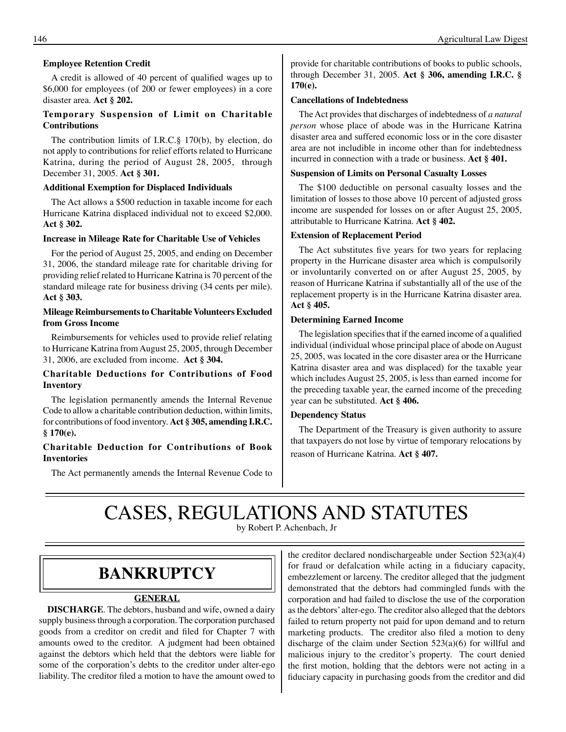### **Employee Retention Credit**

A credit is allowed of 40 percent of qualified wages up to \$6,000 for employees (of 200 or fewer employees) in a core disaster area. **Act § 202.** 

### **Temporary Suspension of Limit on Charitable Contributions**

The contribution limits of I.R.C.§ 170(b), by election, do not apply to contributions for relief efforts related to Hurricane Katrina, during the period of August 28, 2005, through December 31, 2005. **Act § 301.** 

### **Additional Exemption for Displaced Individuals**

The Act allows a \$500 reduction in taxable income for each Hurricane Katrina displaced individual not to exceed \$2,000. **Act § 302.**

#### **Increase in Mileage Rate for Charitable Use of Vehicles**

For the period of August 25, 2005, and ending on December 31, 2006, the standard mileage rate for charitable driving for providing relief related to Hurricane Katrina is 70 percent of the standard mileage rate for business driving (34 cents per mile). **Act § 303.** 

### **Mileage Reimbursements to Charitable Volunteers Excluded from Gross Income**

Reimbursements for vehicles used to provide relief relating to Hurricane Katrina from August 25, 2005, through December 31, 2006, are excluded from income. **Act § 304.** 

### **Charitable Deductions for Contributions of Food Inventory**

The legislation permanently amends the Internal Revenue Code to allow a charitable contribution deduction, within limits, for contributions of food inventory. **Act § 305, amending I.R.C. § 170(e).** 

### **Charitable Deduction for Contributions of Book Inventories**

The Act permanently amends the Internal Revenue Code to

provide for charitable contributions of books to public schools, through December 31, 2005. **Act § 306, amending I.R.C. § 170(e).** 

#### **Cancellations of Indebtedness**

The Act provides that discharges of indebtedness of *a natural person* whose place of abode was in the Hurricane Katrina disaster area and suffered economic loss or in the core disaster area are not includible in income other than for indebtedness incurred in connection with a trade or business. **Act § 401.** 

### **Suspension of Limits on Personal Casualty Losses**

The \$100 deductible on personal casualty losses and the limitation of losses to those above 10 percent of adjusted gross income are suspended for losses on or after August 25, 2005, attributable to Hurricane Katrina. **Act § 402.** 

#### **Extension of Replacement Period**

The Act substitutes five years for two years for replacing property in the Hurricane disaster area which is compulsorily or involuntarily converted on or after August 25, 2005, by reason of Hurricane Katrina if substantially all of the use of the replacement property is in the Hurricane Katrina disaster area. **Act § 405.**

#### **Determining Earned Income**

The legislation specifies that if the earned income of a qualified individual (individual whose principal place of abode on August 25, 2005, was located in the core disaster area or the Hurricane Katrina disaster area and was displaced) for the taxable year which includes August 25, 2005, is less than earned income for the preceding taxable year, the earned income of the preceding year can be substituted. **Act § 406.** 

#### **Dependency Status**

The Department of the Treasury is given authority to assure that taxpayers do not lose by virtue of temporary relocations by reason of Hurricane Katrina. **Act § 407.** 

# CASES, REGULATIONS AND STATUTES

by Robert P. Achenbach, Jr

### **BANKRuPTCy**

### **GENERAL**

**DISCHARGE**. The debtors, husband and wife, owned a dairy supply business through a corporation. The corporation purchased goods from a creditor on credit and filed for Chapter 7 with amounts owed to the creditor. A judgment had been obtained against the debtors which held that the debtors were liable for some of the corporation's debts to the creditor under alter-ego liability. The creditor filed a motion to have the amount owed to

the creditor declared nondischargeable under Section 523(a)(4) for fraud or defalcation while acting in a fiduciary capacity, embezzlement or larceny. The creditor alleged that the judgment demonstrated that the debtors had commingled funds with the corporation and had failed to disclose the use of the corporation as the debtors' alter-ego. The creditor also alleged that the debtors failed to return property not paid for upon demand and to return marketing products. The creditor also filed a motion to deny discharge of the claim under Section 523(a)(6) for willful and malicious injury to the creditor's property. The court denied the first motion, holding that the debtors were not acting in a fiduciary capacity in purchasing goods from the creditor and did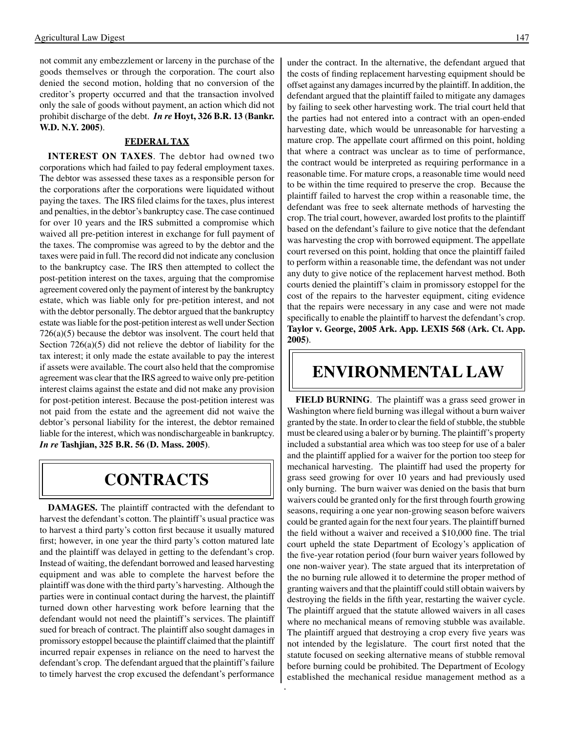not commit any embezzlement or larceny in the purchase of the goods themselves or through the corporation. The court also denied the second motion, holding that no conversion of the creditor's property occurred and that the transaction involved only the sale of goods without payment, an action which did not prohibit discharge of the debt. *In re* **Hoyt, 326 B.R. 13 (Bankr. W.D. N.y. 2005)**.

### **FEDERAL TAX**

**INTEREST ON TAXES**. The debtor had owned two corporations which had failed to pay federal employment taxes. The debtor was assessed these taxes as a responsible person for the corporations after the corporations were liquidated without paying the taxes. The IRS filed claims for the taxes, plus interest and penalties, in the debtor's bankruptcy case. The case continued for over 10 years and the IRS submitted a compromise which waived all pre-petition interest in exchange for full payment of the taxes. The compromise was agreed to by the debtor and the taxes were paid in full. The record did not indicate any conclusion to the bankruptcy case. The IRS then attempted to collect the post-petition interest on the taxes, arguing that the compromise agreement covered only the payment of interest by the bankruptcy estate, which was liable only for pre-petition interest, and not with the debtor personally. The debtor argued that the bankruptcy estate was liable for the post-petition interest as well under Section 726(a)(5) because the debtor was insolvent. The court held that Section 726(a)(5) did not relieve the debtor of liability for the tax interest; it only made the estate available to pay the interest if assets were available. The court also held that the compromise agreement was clear that the IRS agreed to waive only pre-petition interest claims against the estate and did not make any provision for post-petition interest. Because the post-petition interest was not paid from the estate and the agreement did not waive the debtor's personal liability for the interest, the debtor remained liable for the interest, which was nondischargeable in bankruptcy. *In re* **Tashjian, 325 B.R. 56 (D. Mass. 2005)**.

### **CONTRACTS**

**DAMAGES.** The plaintiff contracted with the defendant to harvest the defendant's cotton. The plaintiff's usual practice was to harvest a third party's cotton first because it usually matured first; however, in one year the third party's cotton matured late and the plaintiff was delayed in getting to the defendant's crop. Instead of waiting, the defendant borrowed and leased harvesting equipment and was able to complete the harvest before the plaintiff was done with the third party's harvesting. Although the parties were in continual contact during the harvest, the plaintiff turned down other harvesting work before learning that the defendant would not need the plaintiff's services. The plaintiff sued for breach of contract. The plaintiff also sought damages in promissory estoppel because the plaintiff claimed that the plaintiff incurred repair expenses in reliance on the need to harvest the defendant's crop. The defendant argued that the plaintiff's failure to timely harvest the crop excused the defendant's performance

under the contract. In the alternative, the defendant argued that the costs of finding replacement harvesting equipment should be offset against any damages incurred by the plaintiff. In addition, the defendant argued that the plaintiff failed to mitigate any damages by failing to seek other harvesting work. The trial court held that the parties had not entered into a contract with an open-ended harvesting date, which would be unreasonable for harvesting a mature crop. The appellate court affirmed on this point, holding that where a contract was unclear as to time of performance, the contract would be interpreted as requiring performance in a reasonable time. For mature crops, a reasonable time would need to be within the time required to preserve the crop. Because the plaintiff failed to harvest the crop within a reasonable time, the defendant was free to seek alternate methods of harvesting the crop. The trial court, however, awarded lost profits to the plaintiff based on the defendant's failure to give notice that the defendant was harvesting the crop with borrowed equipment. The appellate court reversed on this point, holding that once the plaintiff failed to perform within a reasonable time, the defendant was not under any duty to give notice of the replacement harvest method. Both courts denied the plaintiff's claim in promissory estoppel for the cost of the repairs to the harvester equipment, citing evidence that the repairs were necessary in any case and were not made specifically to enable the plaintiff to harvest the defendant's crop. **Taylor v. George, 2005 Ark. App. LEXIS 568 (Ark. Ct. App. 2005)**.

### **ENVIRONMENTAL LAW**

**FIELD BuRNING**. The plaintiff was a grass seed grower in Washington where field burning wasillegal without a burn waiver granted by the state. In order to clear the field of stubble, the stubble must be cleared using a baler or by burning. The plaintiff's property included a substantial area which was too steep for use of a baler and the plaintiff applied for a waiver for the portion too steep for mechanical harvesting. The plaintiff had used the property for grass seed growing for over 10 years and had previously used only burning. The burn waiver was denied on the basis that burn waivers could be granted only for the first through fourth growing seasons, requiring a one year non-growing season before waivers could be granted again for the next four years. The plaintiff burned the field without a waiver and received a \$10,000 fine. The trial court upheld the state Department of Ecology's application of the five-year rotation period (four burn waiver years followed by one non-waiver year). The state argued that its interpretation of the no burning rule allowed it to determine the proper method of granting waivers and that the plaintiff could still obtain waivers by destroying the fields in the fifth year, restarting the waiver cycle. The plaintiff argued that the statute allowed waivers in all cases where no mechanical means of removing stubble was available. The plaintiff argued that destroying a crop every five years was not intended by the legislature. The court first noted that the statute focused on seeking alternative means of stubble removal before burning could be prohibited. The Department of Ecology established the mechanical residue management method as a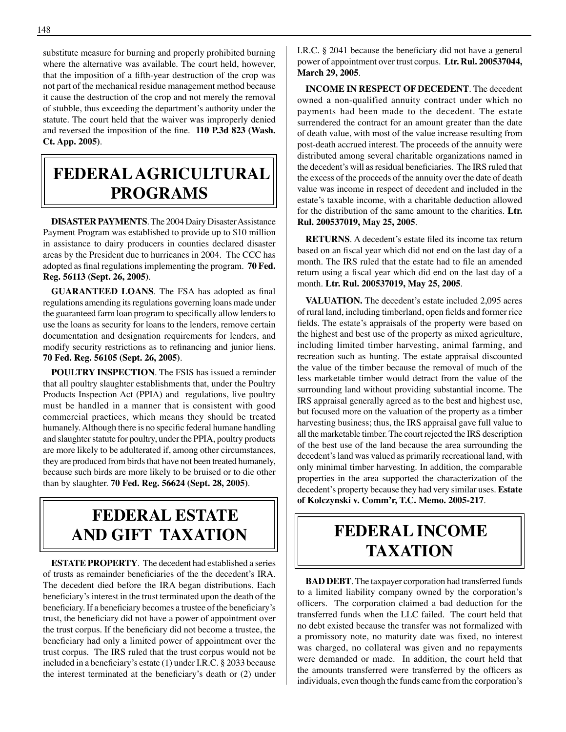substitute measure for burning and properly prohibited burning where the alternative was available. The court held, however, that the imposition of a fifth-year destruction of the crop was not part of the mechanical residue management method because it cause the destruction of the crop and not merely the removal of stubble, thus exceeding the department's authority under the statute. The court held that the waiver was improperly denied and reversed the imposition of the fine. **110 P.3d 823 (Wash. Ct. App. 2005)**.

## **FEDERAL AGRICuLTuRAL PROGRAMS**

**DISASTER PAYMENTS**. The 2004 Dairy Disaster Assistance Payment Program was established to provide up to \$10 million in assistance to dairy producers in counties declared disaster areas by the President due to hurricanes in 2004. The CCC has adopted as final regulationsimplementing the program. **70 Fed. Reg. 56113 (Sept. 26, 2005)**.

**GuARANTEED LOANS**. The FSA has adopted as final regulations amending its regulations governing loans made under the guaranteed farm loan program to specifically allow lenders to use the loans as security for loans to the lenders, remove certain documentation and designation requirements for lenders, and modify security restrictions as to refinancing and junior liens. **70 Fed. Reg. 56105 (Sept. 26, 2005)**.

**POuLTRy INSPECTION**. The FSIS has issued a reminder that all poultry slaughter establishments that, under the Poultry Products Inspection Act (PPIA) and regulations, live poultry must be handled in a manner that is consistent with good commercial practices, which means they should be treated humanely.Although there is no specific federal humane handling and slaughter statute for poultry, under the PPIA, poultry products are more likely to be adulterated if, among other circumstances, they are produced from birds that have not been treated humanely, because such birds are more likely to be bruised or to die other than by slaughter. **70 Fed. Reg. 56624 (Sept. 28, 2005)**.

## **FEDERAL ESTATE AND GIFT TAXATION**

**ESTATE PROPERTy**. The decedent had established a series of trusts as remainder beneficiaries of the the decedent's IRA. The decedent died before the IRA began distributions. Each beneficiary's interest in the trust terminated upon the death of the beneficiary. If a beneficiary becomes a trustee of the beneficiary's trust, the beneficiary did not have a power of appointment over the trust corpus. If the beneficiary did not become a trustee, the beneficiary had only a limited power of appointment over the trust corpus. The IRS ruled that the trust corpus would not be included in a beneficiary's estate (1) under I.R.C. § 2033 because the interest terminated at the beneficiary's death or (2) under I.R.C. § 2041 because the beneficiary did not have a general power of appointment over trust corpus. **Ltr. Rul. 200537044, March 29, 2005**.

**INCOME IN RESPECT OF DECEDENT**. The decedent owned a non-qualified annuity contract under which no payments had been made to the decedent. The estate surrendered the contract for an amount greater than the date of death value, with most of the value increase resulting from post-death accrued interest. The proceeds of the annuity were distributed among several charitable organizations named in the decedent's will asresidual beneficiaries. The IRS ruled that the excess of the proceeds of the annuity over the date of death value was income in respect of decedent and included in the estate's taxable income, with a charitable deduction allowed for the distribution of the same amount to the charities. **Ltr. Rul. 200537019, May 25, 2005**.

**RETuRNS**. A decedent's estate filed its income tax return based on an fiscal year which did not end on the last day of a month. The IRS ruled that the estate had to file an amended return using a fiscal year which did end on the last day of a month. **Ltr. Rul. 200537019, May 25, 2005**.

VALUATION. The decedent's estate included 2,095 acres of rural land, including timberland, open fields and former rice fields. The estate's appraisals of the property were based on the highest and best use of the property as mixed agriculture, including limited timber harvesting, animal farming, and recreation such as hunting. The estate appraisal discounted the value of the timber because the removal of much of the less marketable timber would detract from the value of the surrounding land without providing substantial income. The IRS appraisal generally agreed as to the best and highest use, but focused more on the valuation of the property as a timber harvesting business; thus, the IRS appraisal gave full value to all the marketable timber. The court rejected the IRS description of the best use of the land because the area surrounding the decedent's land was valued as primarily recreational land, with only minimal timber harvesting. In addition, the comparable properties in the area supported the characterization of the decedent's property because they had very similar uses. **Estate of Kolczynski v. Comm'r, T.C. Memo. 2005-217**.

## **FEDERAL INCOME TAXATION**

**BAD DEBT**. The taxpayer corporation had transferred funds to a limited liability company owned by the corporation's officers. The corporation claimed a bad deduction for the transferred funds when the LLC failed. The court held that no debt existed because the transfer was not formalized with a promissory note, no maturity date was fixed, no interest was charged, no collateral was given and no repayments were demanded or made. In addition, the court held that the amounts transferred were transferred by the officers as individuals, even though the funds came from the corporation's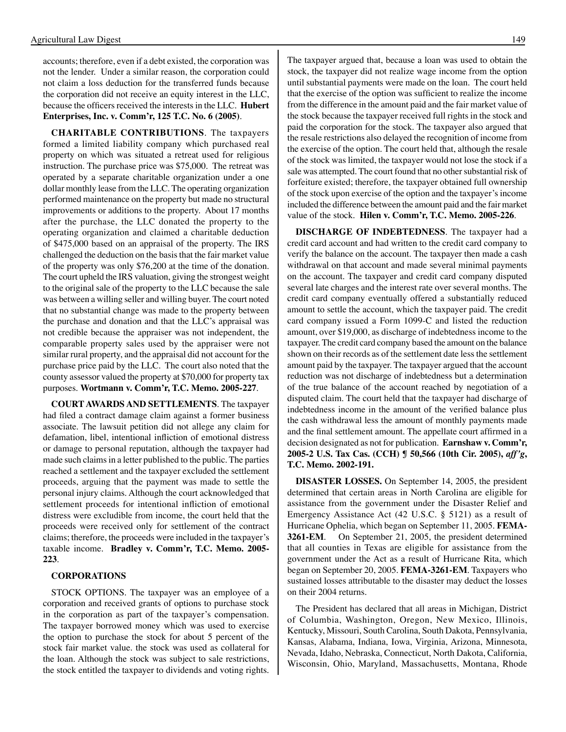accounts; therefore, even if a debt existed, the corporation was not the lender. Under a similar reason, the corporation could not claim a loss deduction for the transferred funds because the corporation did not receive an equity interest in the LLC, because the officers received the interests in the LLC. **Hubert Enterprises, Inc. v. Comm'r, 125 T.C. No. 6 (2005)**.

**CHARITABLE CONTRIBuTIONS**. The taxpayers formed a limited liability company which purchased real property on which was situated a retreat used for religious instruction. The purchase price was \$75,000. The retreat was operated by a separate charitable organization under a one dollar monthly lease from the LLC. The operating organization performed maintenance on the property but made no structural improvements or additions to the property. About 17 months after the purchase, the LLC donated the property to the operating organization and claimed a charitable deduction of \$475,000 based on an appraisal of the property. The IRS challenged the deduction on the basis that the fair market value of the property was only \$76,200 at the time of the donation. The court upheld the IRS valuation, giving the strongest weight to the original sale of the property to the LLC because the sale was between a willing seller and willing buyer. The court noted that no substantial change was made to the property between the purchase and donation and that the LLC's appraisal was not credible because the appraiser was not independent, the comparable property sales used by the appraiser were not similar rural property, and the appraisal did not account for the purchase price paid by the LLC. The court also noted that the county assessor valued the property at \$70,000 for property tax purposes. **Wortmann v. Comm'r, T.C. Memo. 2005-227**.

**COuRT AWARDS AND SETTLEMENTS**. The taxpayer had filed a contract damage claim against a former business associate. The lawsuit petition did not allege any claim for defamation, libel, intentional infliction of emotional distress or damage to personal reputation, although the taxpayer had made such claims in a letter published to the public. The parties reached a settlement and the taxpayer excluded the settlement proceeds, arguing that the payment was made to settle the personal injury claims. Although the court acknowledged that settlement proceeds for intentional infliction of emotional distress were excludible from income, the court held that the proceeds were received only for settlement of the contract claims; therefore, the proceeds were included in the taxpayer's taxable income. **Bradley v. Comm'r, T.C. Memo. 2005- 223**.

### **CORPORATIONS**

STOCK OPTIONS. The taxpayer was an employee of a corporation and received grants of options to purchase stock in the corporation as part of the taxpayer's compensation. The taxpayer borrowed money which was used to exercise the option to purchase the stock for about 5 percent of the stock fair market value. the stock was used as collateral for the loan. Although the stock was subject to sale restrictions, the stock entitled the taxpayer to dividends and voting rights.

The taxpayer argued that, because a loan was used to obtain the stock, the taxpayer did not realize wage income from the option until substantial payments were made on the loan. The court held that the exercise of the option was sufficient to realize the income from the difference in the amount paid and the fair market value of the stock because the taxpayer received full rights in the stock and paid the corporation for the stock. The taxpayer also argued that the resale restrictions also delayed the recognition of income from the exercise of the option. The court held that, although the resale of the stock was limited, the taxpayer would not lose the stock if a sale was attempted. The court found that no other substantial risk of forfeiture existed; therefore, the taxpayer obtained full ownership of the stock upon exercise of the option and the taxpayer's income included the difference between the amount paid and the fair market value of the stock. **Hilen v. Comm'r, T.C. Memo. 2005-226**.

**DISCHARGE OF INDEBTEDNESS**. The taxpayer had a credit card account and had written to the credit card company to verify the balance on the account. The taxpayer then made a cash withdrawal on that account and made several minimal payments on the account. The taxpayer and credit card company disputed several late charges and the interest rate over several months. The credit card company eventually offered a substantially reduced amount to settle the account, which the taxpayer paid. The credit card company issued a Form 1099-C and listed the reduction amount, over \$19,000, as discharge of indebtedness income to the taxpayer. The credit card company based the amount on the balance shown on their records as of the settlement date less the settlement amount paid by the taxpayer. The taxpayer argued that the account reduction was not discharge of indebtedness but a determination of the true balance of the account reached by negotiation of a disputed claim. The court held that the taxpayer had discharge of indebtedness income in the amount of the verified balance plus the cash withdrawal less the amount of monthly payments made and the final settlement amount. The appellate court affirmed in a decision designated as not for publication. **Earnshaw v. Comm'r, 2005-2 u.S. Tax Cas. (CCH) ¶ 50,566 (10th Cir. 2005),** *aff'g***, T.C. Memo. 2002-191.** 

**DISASTER LOSSES.** On September 14, 2005, the president determined that certain areas in North Carolina are eligible for assistance from the government under the Disaster Relief and Emergency Assistance Act (42 U.S.C. § 5121) as a result of Hurricane Ophelia, which began on September 11, 2005. **FEMA-3261-EM**. On September 21, 2005, the president determined that all counties in Texas are eligible for assistance from the government under the Act as a result of Hurricane Rita, which began on September 20, 2005. **FEMA-3261-EM**. Taxpayers who sustained losses attributable to the disaster may deduct the losses on their 2004 returns.

The President has declared that all areas in Michigan, District of Columbia, Washington, Oregon, New Mexico, Illinois, Kentucky, Missouri, South Carolina, South Dakota, Pennsylvania, Kansas, Alabama, Indiana, Iowa, Virginia, Arizona, Minnesota, Nevada, Idaho, Nebraska, Connecticut, North Dakota, California, Wisconsin, Ohio, Maryland, Massachusetts, Montana, Rhode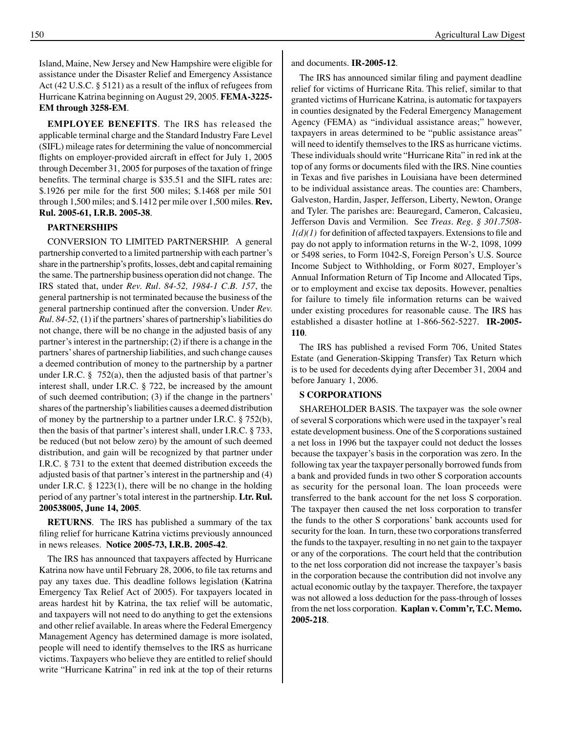Island, Maine, New Jersey and New Hampshire were eligible for assistance under the Disaster Relief and Emergency Assistance Act (42 U.S.C. § 5121) as a result of the influx of refugees from Hurricane Katrina beginning on August 29, 2005. **FEMA-3225- EM through 3258-EM**.

**EMPLOyEE BENEFITS**. The IRS has released the applicable terminal charge and the Standard Industry Fare Level (SIFL) mileage rates for determining the value of noncommercial flights on employer-provided aircraft in effect for July 1, 2005 through December 31, 2005 for purposes of the taxation of fringe benefits. The terminal charge is \$35.51 and the SIFL rates are: \$.1926 per mile for the first 500 miles; \$.1468 per mile 501 through 1,500 miles; and \$.1412 per mile over 1,500 miles. **Rev. Rul. 2005-61, I.R.B. 2005-38**.

### **PARTNERSHIPS**

CONVERSION TO LIMITED PARTNERSHIP. A general partnership converted to a limited partnership with each partner's share in the partnership's profits, losses, debt and capital remaining the same. The partnership business operation did not change. The IRS stated that, under *Rev. Rul. 84-52, 1984-1 C.B. 157*, the general partnership is not terminated because the business of the general partnership continued after the conversion. Under *Rev. Rul. 84-52,* (1) if the partners'shares of partnership's liabilities do not change, there will be no change in the adjusted basis of any partner's interest in the partnership; (2) if there is a change in the partners'shares of partnership liabilities, and such change causes a deemed contribution of money to the partnership by a partner under I.R.C.  $\S$  752(a), then the adjusted basis of that partner's interest shall, under I.R.C. § 722, be increased by the amount of such deemed contribution; (3) if the change in the partners' shares of the partnership's liabilities causes a deemed distribution of money by the partnership to a partner under I.R.C. § 752(b), then the basis of that partner's interest shall, under I.R.C. § 733, be reduced (but not below zero) by the amount of such deemed distribution, and gain will be recognized by that partner under I.R.C. § 731 to the extent that deemed distribution exceeds the adjusted basis of that partner's interest in the partnership and (4) under I.R.C. § 1223(1), there will be no change in the holding period of any partner's total interest in the partnership. **Ltr. Rul. 200538005, June 14, 2005**.

**RETuRNS**. The IRS has published a summary of the tax filing relief for hurricane Katrina victims previously announced in news releases. **Notice 2005-73, I.R.B. 2005-42**.

The IRS has announced that taxpayers affected by Hurricane Katrina now have until February 28, 2006, to file tax returns and pay any taxes due. This deadline follows legislation (Katrina Emergency Tax Relief Act of 2005). For taxpayers located in areas hardest hit by Katrina, the tax relief will be automatic, and taxpayers will not need to do anything to get the extensions and other relief available. In areas where the Federal Emergency Management Agency has determined damage is more isolated, people will need to identify themselves to the IRS as hurricane victims. Taxpayers who believe they are entitled to relief should write "Hurricane Katrina" in red ink at the top of their returns and documents. **IR-2005-12**.

The IRS has announced similar filing and payment deadline relief for victims of Hurricane Rita. This relief, similar to that granted victims of Hurricane Katrina, is automatic for taxpayers in counties designated by the Federal Emergency Management Agency (FEMA) as "individual assistance areas;" however, taxpayers in areas determined to be "public assistance areas" will need to identify themselves to the IRS as hurricane victims. These individuals should write "Hurricane Rita" in red ink at the top of any forms or documents filed with the IRS. Nine counties in Texas and five parishes in Louisiana have been determined to be individual assistance areas. The counties are: Chambers, Galveston, Hardin, Jasper, Jefferson, Liberty, Newton, Orange and Tyler. The parishes are: Beauregard, Cameron, Calcasieu, Jefferson Davis and Vermilion. See *Treas. Reg. § 301.7508-*  $1(d)(1)$  for definition of affected taxpayers. Extensions to file and pay do not apply to information returns in the W-2, 1098, 1099 or 5498 series, to Form 1042-S, Foreign Person's U.S. Source Income Subject to Withholding, or Form 8027, Employer's Annual Information Return of Tip Income and Allocated Tips, or to employment and excise tax deposits. However, penalties for failure to timely file information returns can be waived under existing procedures for reasonable cause. The IRS has established a disaster hotline at 1-866-562-5227. **IR-2005- 110**.

The IRS has published a revised Form 706, United States Estate (and Generation-Skipping Transfer) Tax Return which is to be used for decedents dying after December 31, 2004 and before January 1, 2006.

### **S CORPORATIONS**

SHAREHOLDER BASIS. The taxpayer was the sole owner of several S corporations which were used in the taxpayer's real estate development business. One of the S corporations sustained a net loss in 1996 but the taxpayer could not deduct the losses because the taxpayer's basis in the corporation was zero. In the following tax year the taxpayer personally borrowed funds from a bank and provided funds in two other S corporation accounts as security for the personal loan. The loan proceeds were transferred to the bank account for the net loss S corporation. The taxpayer then caused the net loss corporation to transfer the funds to the other S corporations' bank accounts used for security for the loan. In turn, these two corporations transferred the funds to the taxpayer, resulting in no net gain to the taxpayer or any of the corporations. The court held that the contribution to the net loss corporation did not increase the taxpayer's basis in the corporation because the contribution did not involve any actual economic outlay by the taxpayer. Therefore, the taxpayer was not allowed a loss deduction for the pass-through of losses from the net loss corporation. **Kaplan v. Comm'r, T.C. Memo. 2005-218**.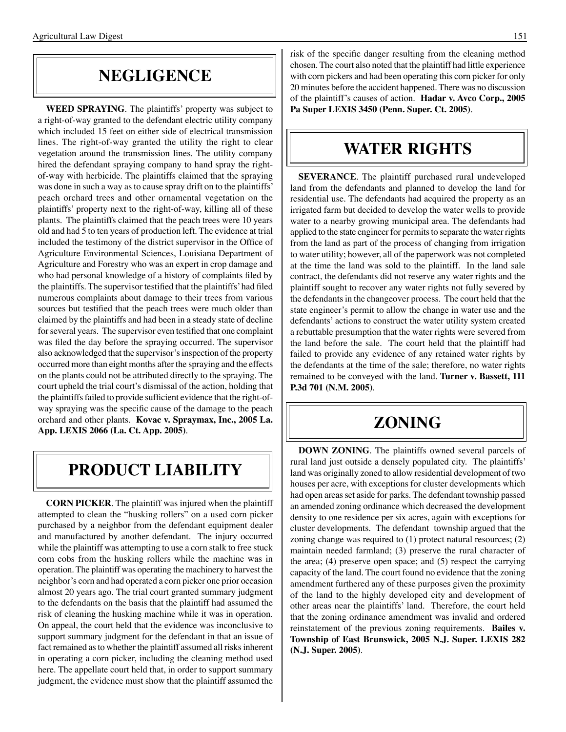### **NEGLIGENCE**

**WEED SPRAyING**. The plaintiffs' property was subject to a right-of-way granted to the defendant electric utility company which included 15 feet on either side of electrical transmission lines. The right-of-way granted the utility the right to clear vegetation around the transmission lines. The utility company hired the defendant spraying company to hand spray the rightof-way with herbicide. The plaintiffs claimed that the spraying was done in such a way as to cause spray drift on to the plaintiffs' peach orchard trees and other ornamental vegetation on the plaintiffs' property next to the right-of-way, killing all of these plants. The plaintiffs claimed that the peach trees were 10 years old and had 5 to ten years of production left. The evidence at trial included the testimony of the district supervisor in the Office of Agriculture Environmental Sciences, Louisiana Department of Agriculture and Forestry who was an expert in crop damage and who had personal knowledge of a history of complaints filed by the plaintiffs. The supervisor testified that the plaintiffs'had filed numerous complaints about damage to their trees from various sources but testified that the peach trees were much older than claimed by the plaintiffs and had been in a steady state of decline for several years. The supervisor even testified that one complaint was filed the day before the spraying occurred. The supervisor also acknowledged that the supervisor's inspection of the property occurred more than eight months after the spraying and the effects on the plants could not be attributed directly to the spraying. The court upheld the trial court's dismissal of the action, holding that the plaintiffs failed to provide sufficient evidence that the right-ofway spraying was the specific cause of the damage to the peach orchard and other plants. **Kovac v. Spraymax, Inc., 2005 La. App. LEXIS 2066 (La. Ct. App. 2005)**.

### **PRODuCT LIABILITy**

**CORN PICKER**. The plaintiff was injured when the plaintiff attempted to clean the "husking rollers" on a used corn picker purchased by a neighbor from the defendant equipment dealer and manufactured by another defendant. The injury occurred while the plaintiff was attempting to use a corn stalk to free stuck corn cobs from the husking rollers while the machine was in operation. The plaintiff was operating the machinery to harvest the neighbor's corn and had operated a corn picker one prior occasion almost 20 years ago. The trial court granted summary judgment to the defendants on the basis that the plaintiff had assumed the risk of cleaning the husking machine while it was in operation. On appeal, the court held that the evidence was inconclusive to support summary judgment for the defendant in that an issue of fact remained as to whether the plaintiff assumed all risks inherent in operating a corn picker, including the cleaning method used here. The appellate court held that, in order to support summary judgment, the evidence must show that the plaintiff assumed the

risk of the specific danger resulting from the cleaning method chosen. The court also noted that the plaintiff had little experience with corn pickers and had been operating this corn picker for only 20 minutes before the accident happened. There was no discussion of the plaintiff's causes of action. **Hadar v. Avco Corp., 2005 Pa Super LEXIS 3450 (Penn. Super. Ct. 2005)**.

## **WATER RIGHTS**

**SEVERANCE**. The plaintiff purchased rural undeveloped land from the defendants and planned to develop the land for residential use. The defendants had acquired the property as an irrigated farm but decided to develop the water wells to provide water to a nearby growing municipal area. The defendants had applied to the state engineer for permits to separate the water rights from the land as part of the process of changing from irrigation to water utility; however, all of the paperwork was not completed at the time the land was sold to the plaintiff. In the land sale contract, the defendants did not reserve any water rights and the plaintiff sought to recover any water rights not fully severed by the defendants in the changeover process. The court held that the state engineer's permit to allow the change in water use and the defendants' actions to construct the water utility system created a rebuttable presumption that the water rights were severed from the land before the sale. The court held that the plaintiff had failed to provide any evidence of any retained water rights by the defendants at the time of the sale; therefore, no water rights remained to be conveyed with the land. **Turner v. Bassett, 111 P.3d 701 (N.M. 2005)**.

### **ZONING**

**DOWN ZONING**. The plaintiffs owned several parcels of rural land just outside a densely populated city. The plaintiffs' land was originally zoned to allow residential development of two houses per acre, with exceptions for cluster developments which had open areas set aside for parks. The defendant township passed an amended zoning ordinance which decreased the development density to one residence per six acres, again with exceptions for cluster developments. The defendant township argued that the zoning change was required to (1) protect natural resources; (2) maintain needed farmland; (3) preserve the rural character of the area; (4) preserve open space; and (5) respect the carrying capacity of the land. The court found no evidence that the zoning amendment furthered any of these purposes given the proximity of the land to the highly developed city and development of other areas near the plaintiffs' land. Therefore, the court held that the zoning ordinance amendment was invalid and ordered reinstatement of the previous zoning requirements. **Bailes v. Township of East Brunswick, 2005 N.J. Super. LEXIS 282 (N.J. Super. 2005)**.